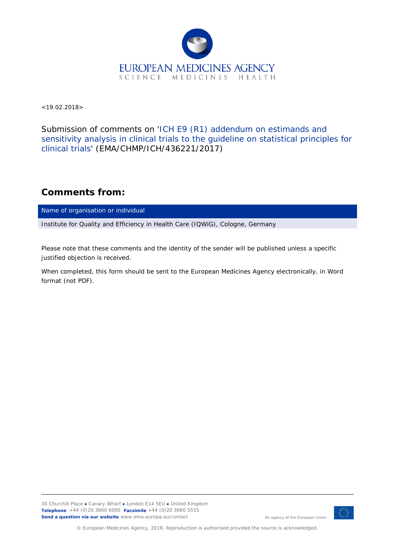

 $<$  19.02.2018 $>$ 

Submission of comments on 'ICH E9 (R1) addendum on estimands and sensitivity analysis in clinical trials to the guideline on statistical principles for clinical trials' (EMA/CHMP/ICH/436221/2017)

## **Comments from:**

Name of organisation or individual

Institute for Quality and Efficiency in Health Care (IQWiG), Cologne, Germany

*Please note that these comments and the identity of the sender will be published unless a specific justified objection is received.*

*When completed, this form should be sent to the European Medicines Agency electronically, in Word format (not PDF).*



An agency of the European Union

© European Medicines Agency, 2018. Reproduction is authorised provided the source is acknowledged.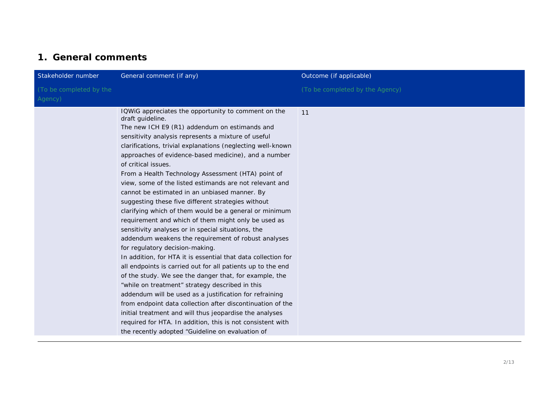## **1. General comments**

| Stakeholder number                 | General comment (if any)                                                                                                                                                                                                                                                                                                                                                                                                                                                                                                                                                                                                                                                                                                                                                                                                                                                                                                                                                                                                                                                                                                                                                                                                                                                                                                                                                  | Outcome (if applicable)         |
|------------------------------------|---------------------------------------------------------------------------------------------------------------------------------------------------------------------------------------------------------------------------------------------------------------------------------------------------------------------------------------------------------------------------------------------------------------------------------------------------------------------------------------------------------------------------------------------------------------------------------------------------------------------------------------------------------------------------------------------------------------------------------------------------------------------------------------------------------------------------------------------------------------------------------------------------------------------------------------------------------------------------------------------------------------------------------------------------------------------------------------------------------------------------------------------------------------------------------------------------------------------------------------------------------------------------------------------------------------------------------------------------------------------------|---------------------------------|
| (To be completed by the<br>Agency) |                                                                                                                                                                                                                                                                                                                                                                                                                                                                                                                                                                                                                                                                                                                                                                                                                                                                                                                                                                                                                                                                                                                                                                                                                                                                                                                                                                           | (To be completed by the Agency) |
|                                    | IQWIG appreciates the opportunity to comment on the<br>draft guideline.<br>The new ICH E9 (R1) addendum on estimands and<br>sensitivity analysis represents a mixture of useful<br>clarifications, trivial explanations (neglecting well-known<br>approaches of evidence-based medicine), and a number<br>of critical issues.<br>From a Health Technology Assessment (HTA) point of<br>view, some of the listed estimands are not relevant and<br>cannot be estimated in an unbiased manner. By<br>suggesting these five different strategies without<br>clarifying which of them would be a general or minimum<br>requirement and which of them might only be used as<br>sensitivity analyses or in special situations, the<br>addendum weakens the requirement of robust analyses<br>for regulatory decision-making.<br>In addition, for HTA it is essential that data collection for<br>all endpoints is carried out for all patients up to the end<br>of the study. We see the danger that, for example, the<br>"while on treatment" strategy described in this<br>addendum will be used as a justification for refraining<br>from endpoint data collection after discontinuation of the<br>initial treatment and will thus jeopardise the analyses<br>required for HTA. In addition, this is not consistent with<br>the recently adopted "Guideline on evaluation of | 11                              |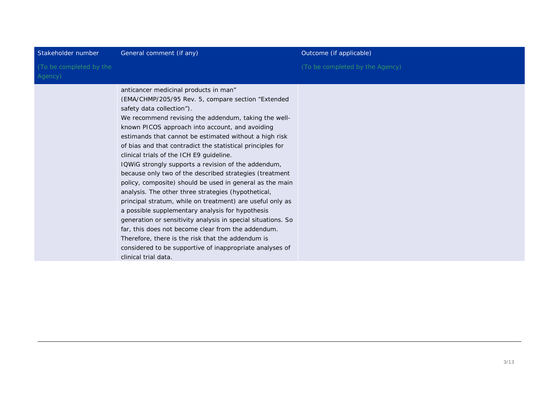| (To be completed by the<br>(To be completed by the Agency)<br>Agency)<br>anticancer medicinal products in man"<br>(EMA/CHMP/205/95 Rev. 5, compare section "Extended<br>safety data collection").<br>We recommend revising the addendum, taking the well-<br>known PICOS approach into account, and avoiding<br>estimands that cannot be estimated without a high risk<br>of bias and that contradict the statistical principles for<br>clinical trials of the ICH E9 guideline.<br>IQWIG strongly supports a revision of the addendum,<br>because only two of the described strategies (treatment<br>policy, composite) should be used in general as the main<br>analysis. The other three strategies (hypothetical,<br>principal stratum, while on treatment) are useful only as<br>a possible supplementary analysis for hypothesis<br>generation or sensitivity analysis in special situations. So<br>far, this does not become clear from the addendum.<br>Therefore, there is the risk that the addendum is<br>considered to be supportive of inappropriate analyses of | Stakeholder number | General comment (if any) | Outcome (if applicable) |
|-------------------------------------------------------------------------------------------------------------------------------------------------------------------------------------------------------------------------------------------------------------------------------------------------------------------------------------------------------------------------------------------------------------------------------------------------------------------------------------------------------------------------------------------------------------------------------------------------------------------------------------------------------------------------------------------------------------------------------------------------------------------------------------------------------------------------------------------------------------------------------------------------------------------------------------------------------------------------------------------------------------------------------------------------------------------------------|--------------------|--------------------------|-------------------------|
|                                                                                                                                                                                                                                                                                                                                                                                                                                                                                                                                                                                                                                                                                                                                                                                                                                                                                                                                                                                                                                                                               |                    |                          |                         |
| clinical trial data.                                                                                                                                                                                                                                                                                                                                                                                                                                                                                                                                                                                                                                                                                                                                                                                                                                                                                                                                                                                                                                                          |                    |                          |                         |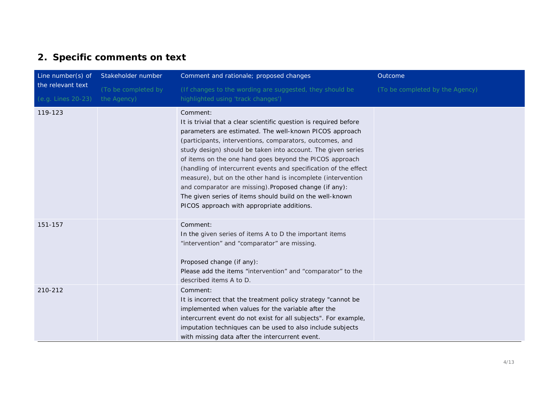## **2. Specific comments on text**

| Line number(s) of  | Stakeholder number  | Comment and rationale; proposed changes                                                                                                                                                                                                                                                                                                                                                                                                                                                                                                                                                                                                | Outcome                         |
|--------------------|---------------------|----------------------------------------------------------------------------------------------------------------------------------------------------------------------------------------------------------------------------------------------------------------------------------------------------------------------------------------------------------------------------------------------------------------------------------------------------------------------------------------------------------------------------------------------------------------------------------------------------------------------------------------|---------------------------------|
| the relevant text  | (To be completed by | (If changes to the wording are suggested, they should be                                                                                                                                                                                                                                                                                                                                                                                                                                                                                                                                                                               | (To be completed by the Agency) |
| (e.g. Lines 20-23) | the Agency)         | highlighted using 'track changes')                                                                                                                                                                                                                                                                                                                                                                                                                                                                                                                                                                                                     |                                 |
| 119-123            |                     | Comment:<br>It is trivial that a clear scientific question is required before<br>parameters are estimated. The well-known PICOS approach<br>(participants, interventions, comparators, outcomes, and<br>study design) should be taken into account. The given series<br>of items on the one hand goes beyond the PICOS approach<br>(handling of intercurrent events and specification of the effect<br>measure), but on the other hand is incomplete (intervention<br>and comparator are missing). Proposed change (if any):<br>The given series of items should build on the well-known<br>PICOS approach with appropriate additions. |                                 |
| 151-157            |                     | Comment:<br>In the given series of items A to D the important items<br>"intervention" and "comparator" are missing.<br>Proposed change (if any):<br>Please add the items "intervention" and "comparator" to the<br>described items A to D.                                                                                                                                                                                                                                                                                                                                                                                             |                                 |
| 210-212            |                     | Comment:<br>It is incorrect that the treatment policy strategy "cannot be<br>implemented when values for the variable after the<br>intercurrent event do not exist for all subjects". For example,<br>imputation techniques can be used to also include subjects<br>with missing data after the intercurrent event.                                                                                                                                                                                                                                                                                                                    |                                 |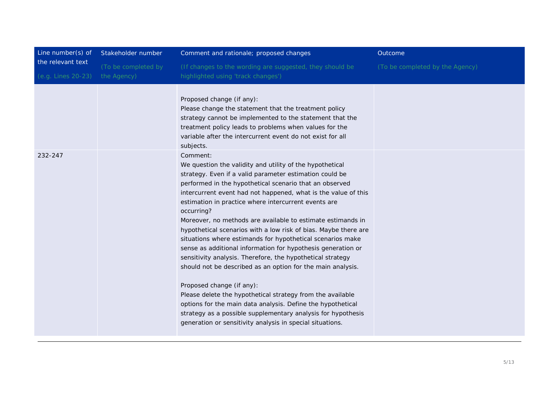| Line number(s) of                       | Stakeholder number                 | Comment and rationale; proposed changes                                                                                                                                                                                                                                                                                                                                                                                                                                                                                                                                                                                                                                                                                                                                                                                                                                                                                                                                                                                | Outcome                         |
|-----------------------------------------|------------------------------------|------------------------------------------------------------------------------------------------------------------------------------------------------------------------------------------------------------------------------------------------------------------------------------------------------------------------------------------------------------------------------------------------------------------------------------------------------------------------------------------------------------------------------------------------------------------------------------------------------------------------------------------------------------------------------------------------------------------------------------------------------------------------------------------------------------------------------------------------------------------------------------------------------------------------------------------------------------------------------------------------------------------------|---------------------------------|
| the relevant text<br>(e.g. Lines 20-23) | (To be completed by<br>the Agency) | (If changes to the wording are suggested, they should be<br>highlighted using 'track changes')                                                                                                                                                                                                                                                                                                                                                                                                                                                                                                                                                                                                                                                                                                                                                                                                                                                                                                                         | (To be completed by the Agency) |
|                                         |                                    | Proposed change (if any):<br>Please change the statement that the treatment policy<br>strategy cannot be implemented to the statement that the<br>treatment policy leads to problems when values for the<br>variable after the intercurrent event do not exist for all<br>subjects.                                                                                                                                                                                                                                                                                                                                                                                                                                                                                                                                                                                                                                                                                                                                    |                                 |
| 232-247                                 |                                    | Comment:<br>We question the validity and utility of the hypothetical<br>strategy. Even if a valid parameter estimation could be<br>performed in the hypothetical scenario that an observed<br>intercurrent event had not happened, what is the value of this<br>estimation in practice where intercurrent events are<br>occurring?<br>Moreover, no methods are available to estimate estimands in<br>hypothetical scenarios with a low risk of bias. Maybe there are<br>situations where estimands for hypothetical scenarios make<br>sense as additional information for hypothesis generation or<br>sensitivity analysis. Therefore, the hypothetical strategy<br>should not be described as an option for the main analysis.<br>Proposed change (if any):<br>Please delete the hypothetical strategy from the available<br>options for the main data analysis. Define the hypothetical<br>strategy as a possible supplementary analysis for hypothesis<br>generation or sensitivity analysis in special situations. |                                 |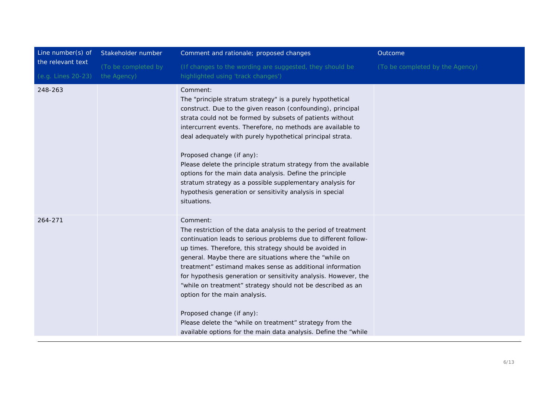| Line number(s) of  | Stakeholder number  | Comment and rationale; proposed changes                                                                                                                                                                                                                                                                                                                                                                                                                                                                                                                                                                                                                          | Outcome                         |
|--------------------|---------------------|------------------------------------------------------------------------------------------------------------------------------------------------------------------------------------------------------------------------------------------------------------------------------------------------------------------------------------------------------------------------------------------------------------------------------------------------------------------------------------------------------------------------------------------------------------------------------------------------------------------------------------------------------------------|---------------------------------|
| the relevant text  | (To be completed by | (If changes to the wording are suggested, they should be                                                                                                                                                                                                                                                                                                                                                                                                                                                                                                                                                                                                         | (To be completed by the Agency) |
| (e.g. Lines 20-23) | the Agency)         | highlighted using 'track changes')                                                                                                                                                                                                                                                                                                                                                                                                                                                                                                                                                                                                                               |                                 |
| 248-263            |                     | Comment:<br>The "principle stratum strategy" is a purely hypothetical<br>construct. Due to the given reason (confounding), principal<br>strata could not be formed by subsets of patients without<br>intercurrent events. Therefore, no methods are available to<br>deal adequately with purely hypothetical principal strata.<br>Proposed change (if any):<br>Please delete the principle stratum strategy from the available<br>options for the main data analysis. Define the principle<br>stratum strategy as a possible supplementary analysis for<br>hypothesis generation or sensitivity analysis in special<br>situations.                               |                                 |
| 264-271            |                     | Comment:<br>The restriction of the data analysis to the period of treatment<br>continuation leads to serious problems due to different follow-<br>up times. Therefore, this strategy should be avoided in<br>general. Maybe there are situations where the "while on<br>treatment" estimand makes sense as additional information<br>for hypothesis generation or sensitivity analysis. However, the<br>"while on treatment" strategy should not be described as an<br>option for the main analysis.<br>Proposed change (if any):<br>Please delete the "while on treatment" strategy from the<br>available options for the main data analysis. Define the "while |                                 |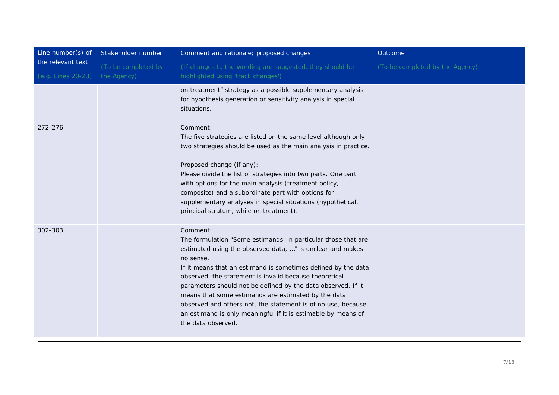| Line number(s) of                       | Stakeholder number                 | Comment and rationale; proposed changes                                                                                                                                                                                                                                                                                                                                                                                                                                                                                                                      | Outcome                         |
|-----------------------------------------|------------------------------------|--------------------------------------------------------------------------------------------------------------------------------------------------------------------------------------------------------------------------------------------------------------------------------------------------------------------------------------------------------------------------------------------------------------------------------------------------------------------------------------------------------------------------------------------------------------|---------------------------------|
| the relevant text<br>(e.g. Lines 20-23) | (To be completed by<br>the Agency) | (If changes to the wording are suggested, they should be<br>highlighted using 'track changes')                                                                                                                                                                                                                                                                                                                                                                                                                                                               | (To be completed by the Agency) |
|                                         |                                    | on treatment" strategy as a possible supplementary analysis<br>for hypothesis generation or sensitivity analysis in special<br>situations.                                                                                                                                                                                                                                                                                                                                                                                                                   |                                 |
| 272-276                                 |                                    | Comment:<br>The five strategies are listed on the same level although only<br>two strategies should be used as the main analysis in practice.<br>Proposed change (if any):<br>Please divide the list of strategies into two parts. One part<br>with options for the main analysis (treatment policy,<br>composite) and a subordinate part with options for<br>supplementary analyses in special situations (hypothetical,<br>principal stratum, while on treatment).                                                                                         |                                 |
| 302-303                                 |                                    | Comment:<br>The formulation "Some estimands, in particular those that are<br>estimated using the observed data, " is unclear and makes<br>no sense.<br>If it means that an estimand is sometimes defined by the data<br>observed, the statement is invalid because theoretical<br>parameters should not be defined by the data observed. If it<br>means that some estimands are estimated by the data<br>observed and others not, the statement is of no use, because<br>an estimand is only meaningful if it is estimable by means of<br>the data observed. |                                 |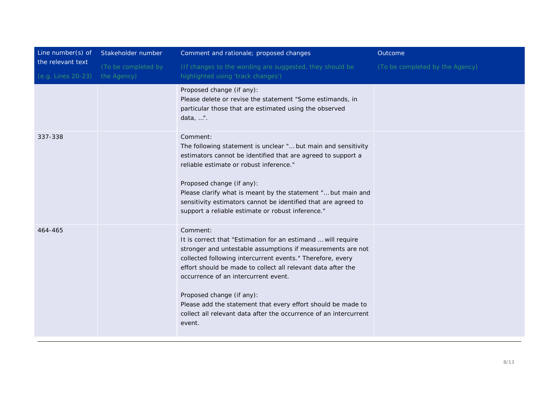| Line number(s) of                       | Stakeholder number                 | Comment and rationale; proposed changes                                                                                                                                                                                                                                                                                                                                                                                                                                                   | Outcome                         |
|-----------------------------------------|------------------------------------|-------------------------------------------------------------------------------------------------------------------------------------------------------------------------------------------------------------------------------------------------------------------------------------------------------------------------------------------------------------------------------------------------------------------------------------------------------------------------------------------|---------------------------------|
| the relevant text<br>(e.g. Lines 20-23) | (To be completed by<br>the Agency) | (If changes to the wording are suggested, they should be<br>highlighted using 'track changes')                                                                                                                                                                                                                                                                                                                                                                                            | (To be completed by the Agency) |
|                                         |                                    | Proposed change (if any):<br>Please delete or revise the statement "Some estimands, in<br>particular those that are estimated using the observed<br>data, ".                                                                                                                                                                                                                                                                                                                              |                                 |
| 337-338                                 |                                    | Comment:<br>The following statement is unclear " but main and sensitivity<br>estimators cannot be identified that are agreed to support a<br>reliable estimate or robust inference."<br>Proposed change (if any):<br>Please clarify what is meant by the statement " but main and<br>sensitivity estimators cannot be identified that are agreed to<br>support a reliable estimate or robust inference."                                                                                  |                                 |
| 464-465                                 |                                    | Comment:<br>It is correct that "Estimation for an estimand  will require<br>stronger and untestable assumptions if measurements are not<br>collected following intercurrent events." Therefore, every<br>effort should be made to collect all relevant data after the<br>occurrence of an intercurrent event.<br>Proposed change (if any):<br>Please add the statement that every effort should be made to<br>collect all relevant data after the occurrence of an intercurrent<br>event. |                                 |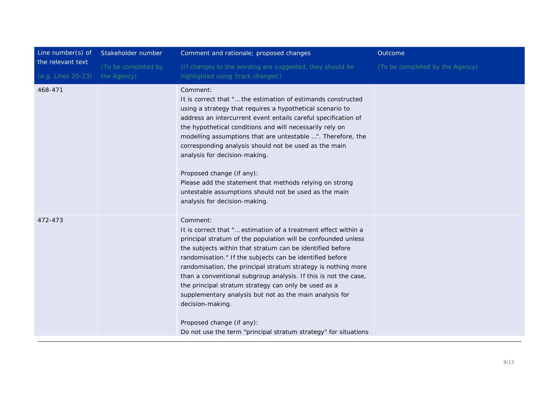| Line number(s) of  | Stakeholder number  | Comment and rationale; proposed changes                                                                                                                                                                                                                                                                                                                                                                                                                                                                                                                                                                                                         | Outcome                         |
|--------------------|---------------------|-------------------------------------------------------------------------------------------------------------------------------------------------------------------------------------------------------------------------------------------------------------------------------------------------------------------------------------------------------------------------------------------------------------------------------------------------------------------------------------------------------------------------------------------------------------------------------------------------------------------------------------------------|---------------------------------|
| the relevant text  | (To be completed by | (If changes to the wording are suggested, they should be                                                                                                                                                                                                                                                                                                                                                                                                                                                                                                                                                                                        | (To be completed by the Agency) |
| (e.g. Lines 20-23) | the Agency)         | highlighted using 'track changes')                                                                                                                                                                                                                                                                                                                                                                                                                                                                                                                                                                                                              |                                 |
| 468-471            |                     | Comment:<br>It is correct that " the estimation of estimands constructed<br>using a strategy that requires a hypothetical scenario to<br>address an intercurrent event entails careful specification of<br>the hypothetical conditions and will necessarily rely on<br>modelling assumptions that are untestable ". Therefore, the<br>corresponding analysis should not be used as the main<br>analysis for decision-making.<br>Proposed change (if any):<br>Please add the statement that methods relying on strong<br>untestable assumptions should not be used as the main<br>analysis for decision-making.                                  |                                 |
| 472-473            |                     | Comment:<br>It is correct that " estimation of a treatment effect within a<br>principal stratum of the population will be confounded unless<br>the subjects within that stratum can be identified before<br>randomisation." If the subjects can be identified before<br>randomisation, the principal stratum strategy is nothing more<br>than a conventional subgroup analysis. If this is not the case,<br>the principal stratum strategy can only be used as a<br>supplementary analysis but not as the main analysis for<br>decision-making.<br>Proposed change (if any):<br>Do not use the term "principal stratum strategy" for situations |                                 |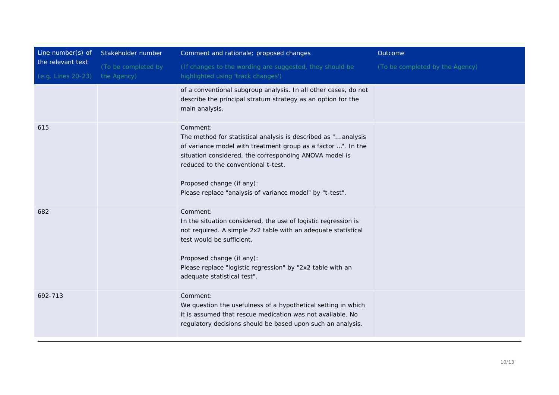| Line number(s) of                       | Stakeholder number                 | Comment and rationale; proposed changes                                                                                                                                                                                                                                                                                              | Outcome                         |
|-----------------------------------------|------------------------------------|--------------------------------------------------------------------------------------------------------------------------------------------------------------------------------------------------------------------------------------------------------------------------------------------------------------------------------------|---------------------------------|
| the relevant text<br>(e.g. Lines 20-23) | (To be completed by<br>the Agency) | (If changes to the wording are suggested, they should be<br>highlighted using 'track changes')                                                                                                                                                                                                                                       | (To be completed by the Agency) |
|                                         |                                    | of a conventional subgroup analysis. In all other cases, do not<br>describe the principal stratum strategy as an option for the<br>main analysis.                                                                                                                                                                                    |                                 |
| 615                                     |                                    | Comment:<br>The method for statistical analysis is described as " analysis<br>of variance model with treatment group as a factor ". In the<br>situation considered, the corresponding ANOVA model is<br>reduced to the conventional t-test.<br>Proposed change (if any):<br>Please replace "analysis of variance model" by "t-test". |                                 |
| 682                                     |                                    | Comment:<br>In the situation considered, the use of logistic regression is<br>not required. A simple 2x2 table with an adequate statistical<br>test would be sufficient.<br>Proposed change (if any):<br>Please replace "logistic regression" by "2x2 table with an<br>adequate statistical test".                                   |                                 |
| 692-713                                 |                                    | Comment:<br>We question the usefulness of a hypothetical setting in which<br>it is assumed that rescue medication was not available. No<br>regulatory decisions should be based upon such an analysis.                                                                                                                               |                                 |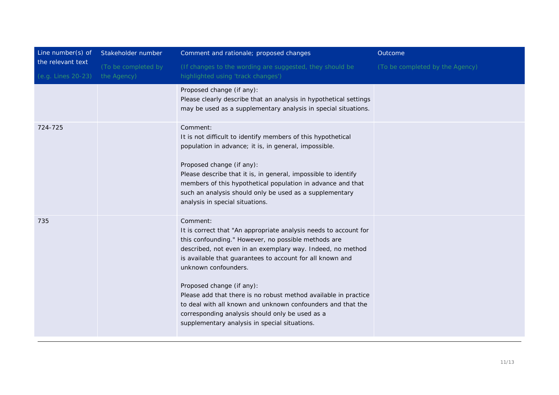| Line number(s) of                       | Stakeholder number                 | Comment and rationale; proposed changes                                                                                                                                                                                                                                                                                                                                                                                                                                                                                                                   | Outcome                         |
|-----------------------------------------|------------------------------------|-----------------------------------------------------------------------------------------------------------------------------------------------------------------------------------------------------------------------------------------------------------------------------------------------------------------------------------------------------------------------------------------------------------------------------------------------------------------------------------------------------------------------------------------------------------|---------------------------------|
| the relevant text<br>(e.g. Lines 20-23) | (To be completed by<br>the Agency) | (If changes to the wording are suggested, they should be<br>highlighted using 'track changes')                                                                                                                                                                                                                                                                                                                                                                                                                                                            | (To be completed by the Agency) |
|                                         |                                    | Proposed change (if any):<br>Please clearly describe that an analysis in hypothetical settings<br>may be used as a supplementary analysis in special situations.                                                                                                                                                                                                                                                                                                                                                                                          |                                 |
| 724-725                                 |                                    | Comment:<br>It is not difficult to identify members of this hypothetical<br>population in advance; it is, in general, impossible.<br>Proposed change (if any):<br>Please describe that it is, in general, impossible to identify<br>members of this hypothetical population in advance and that<br>such an analysis should only be used as a supplementary<br>analysis in special situations.                                                                                                                                                             |                                 |
| 735                                     |                                    | Comment:<br>It is correct that "An appropriate analysis needs to account for<br>this confounding." However, no possible methods are<br>described, not even in an exemplary way. Indeed, no method<br>is available that guarantees to account for all known and<br>unknown confounders.<br>Proposed change (if any):<br>Please add that there is no robust method available in practice<br>to deal with all known and unknown confounders and that the<br>corresponding analysis should only be used as a<br>supplementary analysis in special situations. |                                 |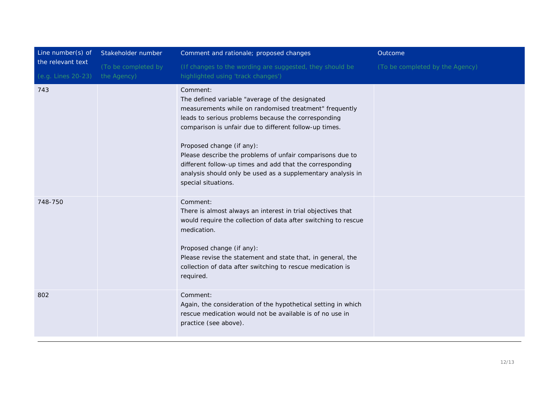| Line number(s) of  | Stakeholder number  | Comment and rationale; proposed changes                                                                                                                                                                                                                                                                                                                                                                                                                                            | Outcome                         |
|--------------------|---------------------|------------------------------------------------------------------------------------------------------------------------------------------------------------------------------------------------------------------------------------------------------------------------------------------------------------------------------------------------------------------------------------------------------------------------------------------------------------------------------------|---------------------------------|
| the relevant text  | (To be completed by | (If changes to the wording are suggested, they should be                                                                                                                                                                                                                                                                                                                                                                                                                           | (To be completed by the Agency) |
| (e.g. Lines 20-23) | the Agency)         | highlighted using 'track changes')                                                                                                                                                                                                                                                                                                                                                                                                                                                 |                                 |
| 743                |                     | Comment:<br>The defined variable "average of the designated<br>measurements while on randomised treatment" frequently<br>leads to serious problems because the corresponding<br>comparison is unfair due to different follow-up times.<br>Proposed change (if any):<br>Please describe the problems of unfair comparisons due to<br>different follow-up times and add that the corresponding<br>analysis should only be used as a supplementary analysis in<br>special situations. |                                 |
| 748-750            |                     | Comment:<br>There is almost always an interest in trial objectives that<br>would require the collection of data after switching to rescue<br>medication.<br>Proposed change (if any):<br>Please revise the statement and state that, in general, the<br>collection of data after switching to rescue medication is<br>required.                                                                                                                                                    |                                 |
| 802                |                     | Comment:<br>Again, the consideration of the hypothetical setting in which<br>rescue medication would not be available is of no use in<br>practice (see above).                                                                                                                                                                                                                                                                                                                     |                                 |